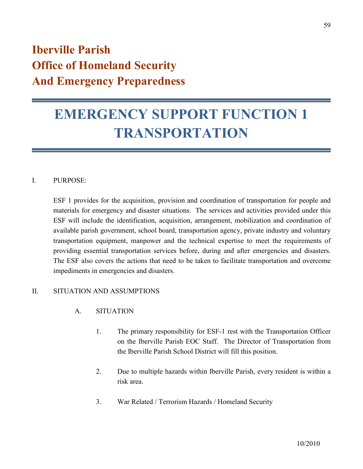# **Iberville Parish Office of Homeland Security And Emergency Preparedness**

# **EMERGENCY SUPPORT FUNCTION 1 TRANSPORTATION**

# I. PURPOSE:

ESF 1 provides for the acquisition, provision and coordination of transportation for people and materials for emergency and disaster situations. The services and activities provided under this ESF will include the identification, acquisition, arrangement, mobilization and coordination of available parish government, school board, transportation agency, private industry and voluntary transportation equipment, manpower and the technical expertise to meet the requirements of providing essential transportation services before, during and after emergencies and disasters. The ESF also covers the actions that need to be taken to facilitate transportation and overcome impediments in emergencies and disasters.

# II. SITUATION AND ASSUMPTIONS

- A. SITUATION
	- 1. The primary responsibility for ESF-1 rest with the Transportation Officer on the Iberville Parish EOC Staff. The Director of Transportation from the Iberville Parish School District will fill this position.
	- 2. Due to multiple hazards within Iberville Parish, every resident is within a risk area.
	- 3. War Related / Terrorism Hazards / Homeland Security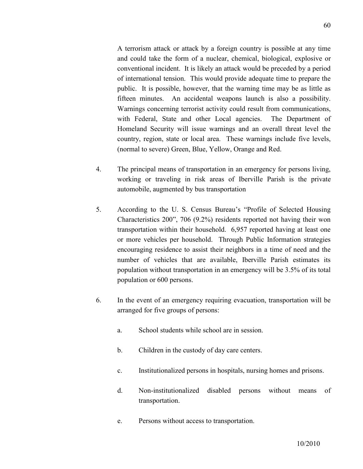A terrorism attack or attack by a foreign country is possible at any time and could take the form of a nuclear, chemical, biological, explosive or conventional incident. It is likely an attack would be preceded by a period of international tension. This would provide adequate time to prepare the public. It is possible, however, that the warning time may be as little as fifteen minutes. An accidental weapons launch is also a possibility. Warnings concerning terrorist activity could result from communications, with Federal, State and other Local agencies. The Department of Homeland Security will issue warnings and an overall threat level the country, region, state or local area. These warnings include five levels, (normal to severe) Green, Blue, Yellow, Orange and Red.

- 4. The principal means of transportation in an emergency for persons living, working or traveling in risk areas of Iberville Parish is the private automobile, augmented by bus transportation
- 5. According to the U. S. Census Bureau's "Profile of Selected Housing Characteristics 200", 706 (9.2%) residents reported not having their won transportation within their household. 6,957 reported having at least one or more vehicles per household. Through Public Information strategies encouraging residence to assist their neighbors in a time of need and the number of vehicles that are available, Iberville Parish estimates its population without transportation in an emergency will be 3.5% of its total population or 600 persons.
- 6. In the event of an emergency requiring evacuation, transportation will be arranged for five groups of persons:
	- a. School students while school are in session.
	- b. Children in the custody of day care centers.
	- c. Institutionalized persons in hospitals, nursing homes and prisons.
	- d. Non-institutionalized disabled persons without means of transportation.
	- e. Persons without access to transportation.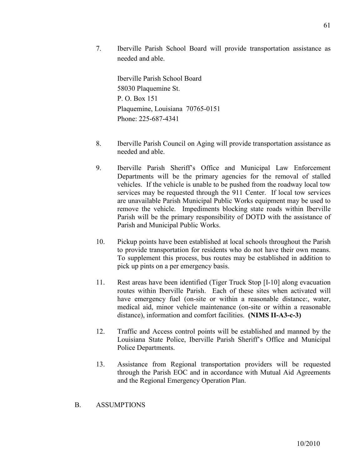7. Iberville Parish School Board will provide transportation assistance as needed and able.

Iberville Parish School Board 58030 Plaquemine St. P. O. Box 151 Plaquemine, Louisiana 70765-0151 Phone: 225-687-4341

- 8. Iberville Parish Council on Aging will provide transportation assistance as needed and able.
- 9. Iberville Parish Sheriff's Office and Municipal Law Enforcement Departments will be the primary agencies for the removal of stalled vehicles. If the vehicle is unable to be pushed from the roadway local tow services may be requested through the 911 Center. If local tow services are unavailable Parish Municipal Public Works equipment may be used to remove the vehicle. Impediments blocking state roads within Iberville Parish will be the primary responsibility of DOTD with the assistance of Parish and Municipal Public Works.
- 10. Pickup points have been established at local schools throughout the Parish to provide transportation for residents who do not have their own means. To supplement this process, bus routes may be established in addition to pick up pints on a per emergency basis.
- 11. Rest areas have been identified (Tiger Truck Stop [I-10] along evacuation routes within Iberville Parish. Each of these sites when activated will have emergency fuel (on-site or within a reasonable distance:, water, medical aid, minor vehicle maintenance (on-site or within a reasonable distance), information and comfort facilities. **(NIMS II-A3-c-3)**
- 12. Traffic and Access control points will be established and manned by the Louisiana State Police, Iberville Parish Sheriff's Office and Municipal Police Departments.
- 13. Assistance from Regional transportation providers will be requested through the Parish EOC and in accordance with Mutual Aid Agreements and the Regional Emergency Operation Plan.

# B. ASSUMPTIONS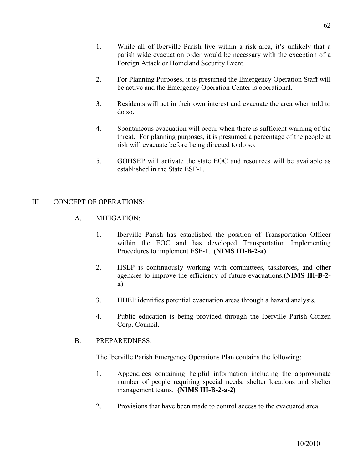- 1. While all of Iberville Parish live within a risk area, it's unlikely that a parish wide evacuation order would be necessary with the exception of a Foreign Attack or Homeland Security Event.
- 2. For Planning Purposes, it is presumed the Emergency Operation Staff will be active and the Emergency Operation Center is operational.
- 3. Residents will act in their own interest and evacuate the area when told to do so.
- 4. Spontaneous evacuation will occur when there is sufficient warning of the threat. For planning purposes, it is presumed a percentage of the people at risk will evacuate before being directed to do so.
- 5. GOHSEP will activate the state EOC and resources will be available as established in the State ESF-1.

# III. CONCEPT OF OPERATIONS

- A. MITIGATION:
	- 1. Iberville Parish has established the position of Transportation Officer within the EOC and has developed Transportation Implementing Procedures to implement ESF-1. **(NIMS III-B-2-a)**
	- 2. HSEP is continuously working with committees, taskforces, and other agencies to improve the efficiency of future evacuations.**(NIMS III-B-2 a)**
	- 3. HDEP identifies potential evacuation areas through a hazard analysis.
	- 4. Public education is being provided through the Iberville Parish Citizen Corp. Council.

#### B. PREPAREDNESS:

The Iberville Parish Emergency Operations Plan contains the following:

- 1. Appendices containing helpful information including the approximate number of people requiring special needs, shelter locations and shelter management teams. **(NIMS III-B-2-a-2)**
- 2. Provisions that have been made to control access to the evacuated area.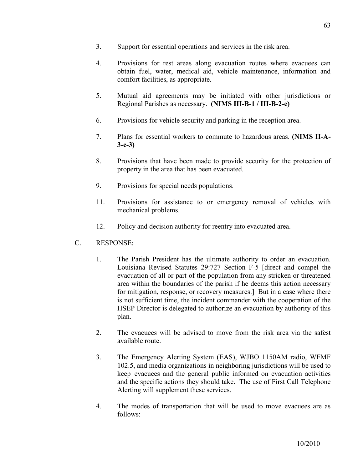- 3. Support for essential operations and services in the risk area.
- 4. Provisions for rest areas along evacuation routes where evacuees can obtain fuel, water, medical aid, vehicle maintenance, information and comfort facilities, as appropriate.
- 5. Mutual aid agreements may be initiated with other jurisdictions or Regional Parishes as necessary. **(NIMS III-B-1 / III-B-2-e)**
- 6. Provisions for vehicle security and parking in the reception area.
- 7. Plans for essential workers to commute to hazardous areas. **(NIMS II-A-3-c-3)**
- 8. Provisions that have been made to provide security for the protection of property in the area that has been evacuated.
- 9. Provisions for special needs populations.
- 11. Provisions for assistance to or emergency removal of vehicles with mechanical problems.
- 12. Policy and decision authority for reentry into evacuated area.
- C. RESPONSE:
	- 1. The Parish President has the ultimate authority to order an evacuation. Louisiana Revised Statutes 29:727 Section F-5 [direct and compel the evacuation of all or part of the population from any stricken or threatened area within the boundaries of the parish if he deems this action necessary for mitigation, response, or recovery measures.] But in a case where there is not sufficient time, the incident commander with the cooperation of the HSEP Director is delegated to authorize an evacuation by authority of this plan.
	- 2. The evacuees will be advised to move from the risk area via the safest available route.
	- 3. The Emergency Alerting System (EAS), WJBO 1150AM radio, WFMF 102.5, and media organizations in neighboring jurisdictions will be used to keep evacuees and the general public informed on evacuation activities and the specific actions they should take. The use of First Call Telephone Alerting will supplement these services.
	- 4. The modes of transportation that will be used to move evacuees are as follows: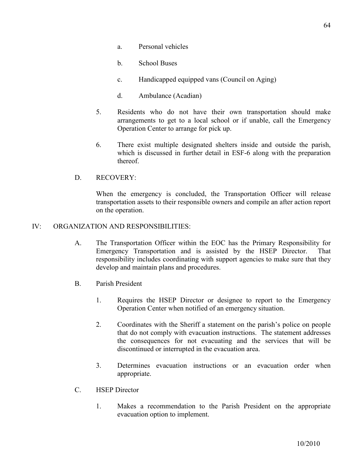- a. Personal vehicles
- b. School Buses
- c. Handicapped equipped vans (Council on Aging)
- d. Ambulance (Acadian)
- 5. Residents who do not have their own transportation should make arrangements to get to a local school or if unable, call the Emergency Operation Center to arrange for pick up.
- 6. There exist multiple designated shelters inside and outside the parish, which is discussed in further detail in ESF-6 along with the preparation thereof.

#### D. RECOVERY:

When the emergency is concluded, the Transportation Officer will release transportation assets to their responsible owners and compile an after action report on the operation.

#### IV: ORGANIZATION AND RESPONSIBILITIES:

- A. The Transportation Officer within the EOC has the Primary Responsibility for Emergency Transportation and is assisted by the HSEP Director. That responsibility includes coordinating with support agencies to make sure that they develop and maintain plans and procedures.
- B. Parish President
	- 1. Requires the HSEP Director or designee to report to the Emergency Operation Center when notified of an emergency situation.
	- 2. Coordinates with the Sheriff a statement on the parish's police on people that do not comply with evacuation instructions. The statement addresses the consequences for not evacuating and the services that will be discontinued or interrupted in the evacuation area.
	- 3. Determines evacuation instructions or an evacuation order when appropriate.
- C. HSEP Director
	- 1. Makes a recommendation to the Parish President on the appropriate evacuation option to implement.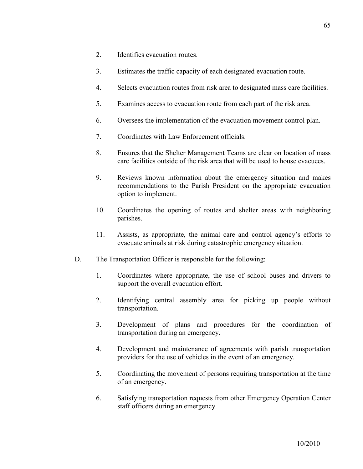- 2. Identifies evacuation routes.
- 3. Estimates the traffic capacity of each designated evacuation route.
- 4. Selects evacuation routes from risk area to designated mass care facilities.
- 5. Examines access to evacuation route from each part of the risk area.
- 6. Oversees the implementation of the evacuation movement control plan.
- 7. Coordinates with Law Enforcement officials.
- 8. Ensures that the Shelter Management Teams are clear on location of mass care facilities outside of the risk area that will be used to house evacuees.
- 9. Reviews known information about the emergency situation and makes recommendations to the Parish President on the appropriate evacuation option to implement.
- 10. Coordinates the opening of routes and shelter areas with neighboring parishes.
- 11. Assists, as appropriate, the animal care and control agency's efforts to evacuate animals at risk during catastrophic emergency situation.
- D. The Transportation Officer is responsible for the following:
	- 1. Coordinates where appropriate, the use of school buses and drivers to support the overall evacuation effort.
	- 2. Identifying central assembly area for picking up people without transportation.
	- 3. Development of plans and procedures for the coordination of transportation during an emergency.
	- 4. Development and maintenance of agreements with parish transportation providers for the use of vehicles in the event of an emergency.
	- 5. Coordinating the movement of persons requiring transportation at the time of an emergency.
	- 6. Satisfying transportation requests from other Emergency Operation Center staff officers during an emergency.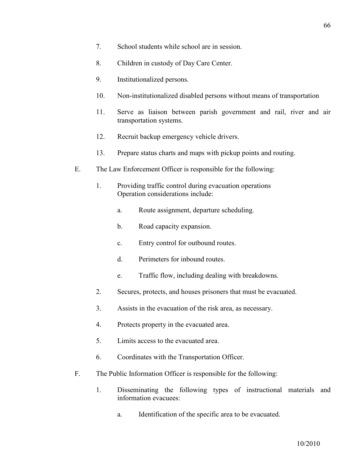- 7. School students while school are in session.
- 8. Children in custody of Day Care Center.
- 9. Institutionalized persons.
- 10. Non-institutionalized disabled persons without means of transportation
- 11. Serve as liaison between parish government and rail, river and air transportation systems.
- 12. Recruit backup emergency vehicle drivers.
- 13. Prepare status charts and maps with pickup points and routing.
- E. The Law Enforcement Officer is responsible for the following:
	- 1. Providing traffic control during evacuation operations Operation considerations include:
		- a. Route assignment, departure scheduling.
		- b. Road capacity expansion.
		- c. Entry control for outbound routes.
		- d. Perimeters for inbound routes.
		- e. Traffic flow, including dealing with breakdowns.
	- 2. Secures, protects, and houses prisoners that must be evacuated.
	- 3. Assists in the evacuation of the risk area, as necessary.
	- 4. Protects property in the evacuated area.
	- 5. Limits access to the evacuated area.
	- 6. Coordinates with the Transportation Officer.
- F. The Public Information Officer is responsible for the following:
	- 1. Disseminating the following types of instructional materials and information evacuees:
		- a. Identification of the specific area to be evacuated.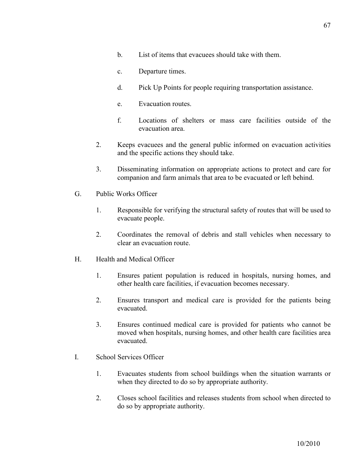- b. List of items that evacuees should take with them.
- c. Departure times.
- d. Pick Up Points for people requiring transportation assistance.
- e. Evacuation routes.
- f. Locations of shelters or mass care facilities outside of the evacuation area.
- 2. Keeps evacuees and the general public informed on evacuation activities and the specific actions they should take.
- 3. Disseminating information on appropriate actions to protect and care for companion and farm animals that area to be evacuated or left behind.
- G. Public Works Officer
	- 1. Responsible for verifying the structural safety of routes that will be used to evacuate people.
	- 2. Coordinates the removal of debris and stall vehicles when necessary to clear an evacuation route.
- H. Health and Medical Officer
	- 1. Ensures patient population is reduced in hospitals, nursing homes, and other health care facilities, if evacuation becomes necessary.
	- 2. Ensures transport and medical care is provided for the patients being evacuated.
	- 3. Ensures continued medical care is provided for patients who cannot be moved when hospitals, nursing homes, and other health care facilities area evacuated.
- I. School Services Officer
	- 1. Evacuates students from school buildings when the situation warrants or when they directed to do so by appropriate authority.
	- 2. Closes school facilities and releases students from school when directed to do so by appropriate authority.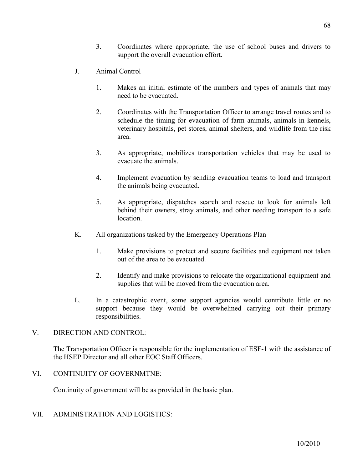- 3. Coordinates where appropriate, the use of school buses and drivers to support the overall evacuation effort.
- J. Animal Control
	- 1. Makes an initial estimate of the numbers and types of animals that may need to be evacuated.
	- 2. Coordinates with the Transportation Officer to arrange travel routes and to schedule the timing for evacuation of farm animals, animals in kennels, veterinary hospitals, pet stores, animal shelters, and wildlife from the risk area.
	- 3. As appropriate, mobilizes transportation vehicles that may be used to evacuate the animals.
	- 4. Implement evacuation by sending evacuation teams to load and transport the animals being evacuated.
	- 5. As appropriate, dispatches search and rescue to look for animals left behind their owners, stray animals, and other needing transport to a safe location.
- K. All organizations tasked by the Emergency Operations Plan
	- 1. Make provisions to protect and secure facilities and equipment not taken out of the area to be evacuated.
	- 2. Identify and make provisions to relocate the organizational equipment and supplies that will be moved from the evacuation area.
- L. In a catastrophic event, some support agencies would contribute little or no support because they would be overwhelmed carrying out their primary responsibilities.

#### V. DIRECTION AND CONTROL:

The Transportation Officer is responsible for the implementation of ESF-1 with the assistance of the HSEP Director and all other EOC Staff Officers.

VI. CONTINUITY OF GOVERNMTNE:

Continuity of government will be as provided in the basic plan.

VII. ADMINISTRATION AND LOGISTICS: